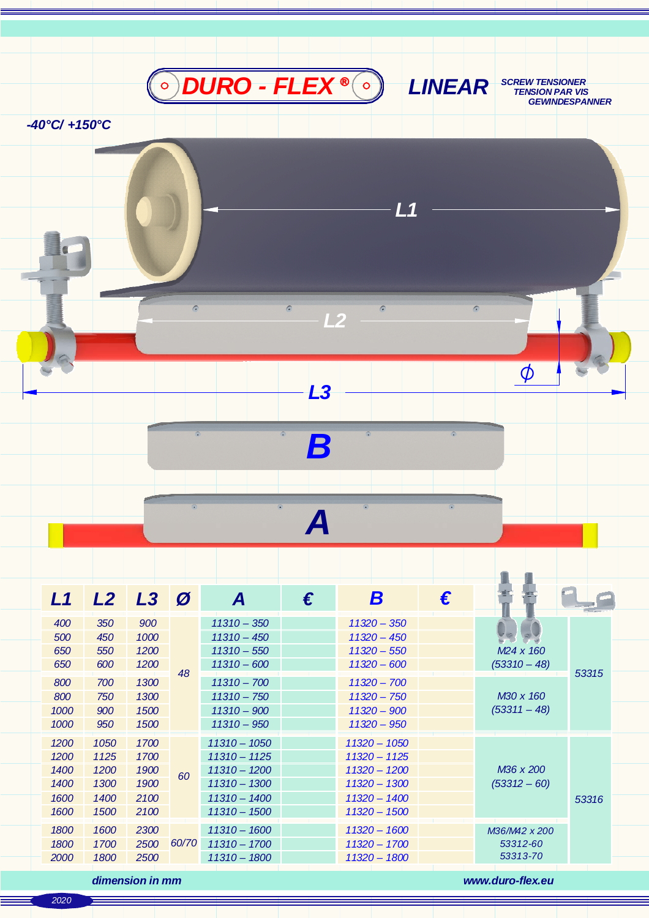

*-40°C/ +150°C*

| L1   | L2   | $L3$ $\varnothing$ |       | A              | € | B              | € |                             |       |
|------|------|--------------------|-------|----------------|---|----------------|---|-----------------------------|-------|
| 400  | 350  | 900                | 48    | $11310 - 350$  |   | $11320 - 350$  |   |                             | 53315 |
| 500  | 450  | 1000               |       | $11310 - 450$  |   | $11320 - 450$  |   |                             |       |
| 650  | 550  | 1200               |       | $11310 - 550$  |   | $11320 - 550$  |   | M <sub>24</sub> x 160       |       |
| 650  | 600  | 1200               |       | $11310 - 600$  |   | $11320 - 600$  |   | $(53310 - 48)$              |       |
| 800  | 700  | 1300               |       | $11310 - 700$  |   | $11320 - 700$  |   | M30 x 160<br>$(53311 - 48)$ |       |
| 800  | 750  | 1300               |       | $11310 - 750$  |   | $11320 - 750$  |   |                             |       |
| 1000 | 900  | 1500               |       | $11310 - 900$  |   | $11320 - 900$  |   |                             |       |
| 1000 | 950  | 1500               |       | $11310 - 950$  |   | $11320 - 950$  |   |                             |       |
| 1200 | 1050 | 1700               | 60    | $11310 - 1050$ |   | $11320 - 1050$ |   | M36 x 200<br>$(53312 - 60)$ |       |
| 1200 | 1125 | 1700               |       | $11310 - 1125$ |   | $11320 - 1125$ |   |                             |       |
| 1400 | 1200 | 1900               |       | $11310 - 1200$ |   | $11320 - 1200$ |   |                             |       |
| 1400 | 1300 | 1900               |       | $11310 - 1300$ |   | $11320 - 1300$ |   |                             |       |
| 1600 | 1400 | 2100               |       | $11310 - 1400$ |   | $11320 - 1400$ |   |                             | 53316 |
| 1600 | 1500 | 2100               |       | $11310 - 1500$ |   | 11320 - 1500   |   |                             |       |
| 1800 | 1600 | 2300               | 60/70 | $11310 - 1600$ |   | 11320 - 1600   |   | M36/M42 x 200               |       |
| 1800 | 1700 | 2500               |       | $11310 - 1700$ |   | $11320 - 1700$ |   | 53312-60                    |       |
| 2000 | 1800 | 2500               |       | $11310 - 1800$ |   | $11320 - 1800$ |   | 53313-70                    |       |
|      |      |                    |       |                |   |                |   |                             |       |

*B*

*L3*

 $\bullet$ 

 $\epsilon$ 

*L2*

*L1*

 $\overline{a}$ 

*A*

*dimension in mm www.duro-flex.eu*

*SCREW TENSIONER TENSION PAR VIS*

 $\phi$ 

 $\overline{a}$ 

 *GEWINDESPANNER*